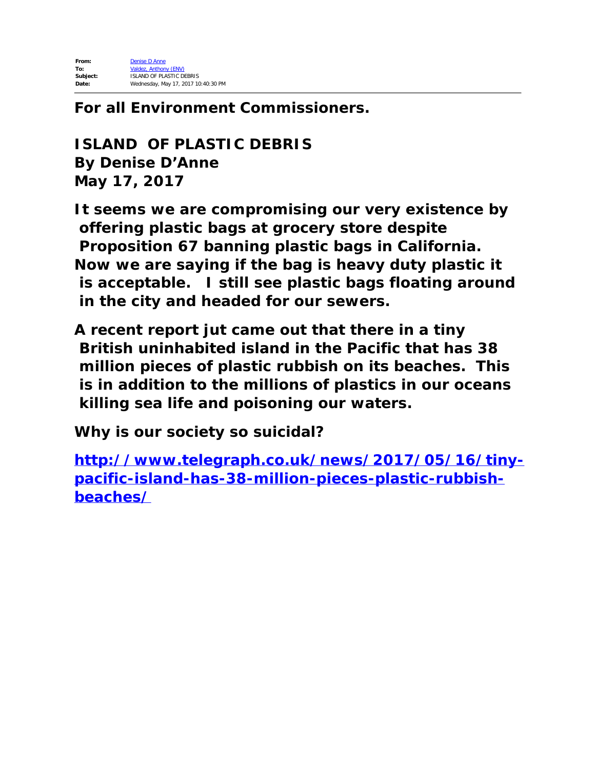**For all Environment Commissioners.**

**ISLAND OF PLASTIC DEBRIS By Denise D'Anne May 17, 2017**

**It seems we are compromising our very existence by offering plastic bags at grocery store despite Proposition 67 banning plastic bags in California. Now we are saying if the bag is heavy duty plastic it is acceptable. I still see plastic bags floating around in the city and headed for our sewers.**

**A recent report jut came out that there in a tiny British uninhabited island in the Pacific that has 38 million pieces of plastic rubbish on its beaches. This is in addition to the millions of plastics in our oceans killing sea life and poisoning our waters.**

**Why is our society so suicidal?**

**[http://www.telegraph.co.uk/news/2017/05/16/tiny](http://www.telegraph.co.uk/news/2017/05/16/tiny-pacific-island-has-38-million-pieces-plastic-rubbish-beaches/)[pacific-island-has-38-million-pieces-plastic-rubbish](http://www.telegraph.co.uk/news/2017/05/16/tiny-pacific-island-has-38-million-pieces-plastic-rubbish-beaches/)[beaches/](http://www.telegraph.co.uk/news/2017/05/16/tiny-pacific-island-has-38-million-pieces-plastic-rubbish-beaches/)**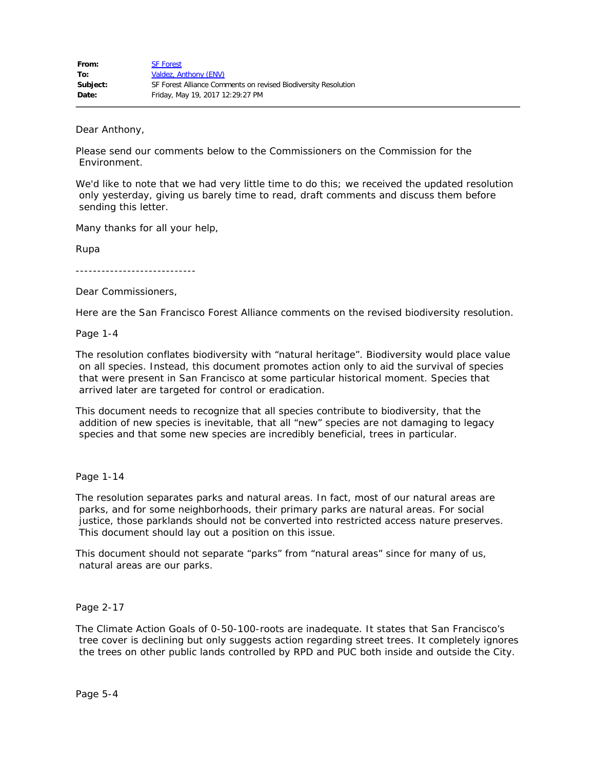Dear Anthony,

Please send our comments below to the Commissioners on the Commission for the Environment.

We'd like to note that we had very little time to do this; we received the updated resolution only yesterday, giving us barely time to read, draft comments and discuss them before sending this letter.

Many thanks for all your help,

Rupa

----------------------------

Dear Commissioners,

Here are the San Francisco Forest Alliance comments on the revised biodiversity resolution.

Page 1-4

The resolution conflates biodiversity with "natural heritage". Biodiversity would place value on all species. Instead, this document promotes action only to aid the survival of species that were present in San Francisco at some particular historical moment. Species that arrived later are targeted for control or eradication.

This document needs to recognize that all species contribute to biodiversity, that the addition of new species is inevitable, that all "new" species are not damaging to legacy species and that some new species are incredibly beneficial, trees in particular.

Page 1-14

The resolution separates parks and natural areas. In fact, most of our natural areas are parks, and for some neighborhoods, their primary parks are natural areas. For social justice, those parklands should not be converted into restricted access nature preserves. This document should lay out a position on this issue.

This document should not separate "parks" from "natural areas" since for many of us, natural areas are our parks.

Page 2-17

The Climate Action Goals of 0-50-100-roots are inadequate. It states that San Francisco's tree cover is declining but only suggests action regarding street trees. It completely ignores the trees on other public lands controlled by RPD and PUC both inside and outside the City.

Page 5-4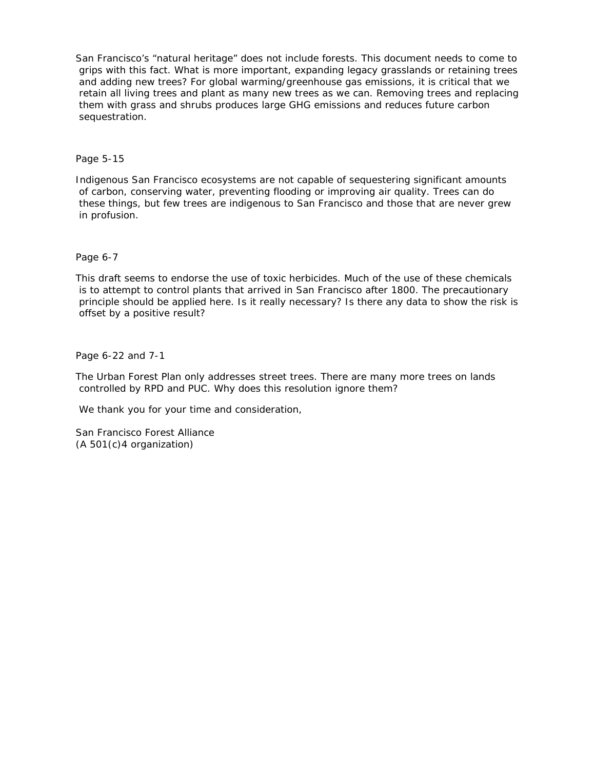San Francisco's "natural heritage" does not include forests. This document needs to come to grips with this fact. What is more important, expanding legacy grasslands or retaining trees and adding new trees? For global warming/greenhouse gas emissions, it is critical that we retain all living trees and plant as many new trees as we can. Removing trees and replacing them with grass and shrubs produces large GHG emissions and reduces future carbon sequestration.

Page 5-15

Indigenous San Francisco ecosystems are not capable of sequestering significant amounts of carbon, conserving water, preventing flooding or improving air quality. Trees can do these things, but few trees are indigenous to San Francisco and those that are never grew in profusion.

Page 6-7

This draft seems to endorse the use of toxic herbicides. Much of the use of these chemicals is to attempt to control plants that arrived in San Francisco after 1800. The precautionary principle should be applied here. Is it really necessary? Is there any data to show the risk is offset by a positive result?

Page 6-22 and 7-1

The Urban Forest Plan only addresses street trees. There are many more trees on lands controlled by RPD and PUC. Why does this resolution ignore them?

We thank you for your time and consideration,

San Francisco Forest Alliance (A 501(c)4 organization)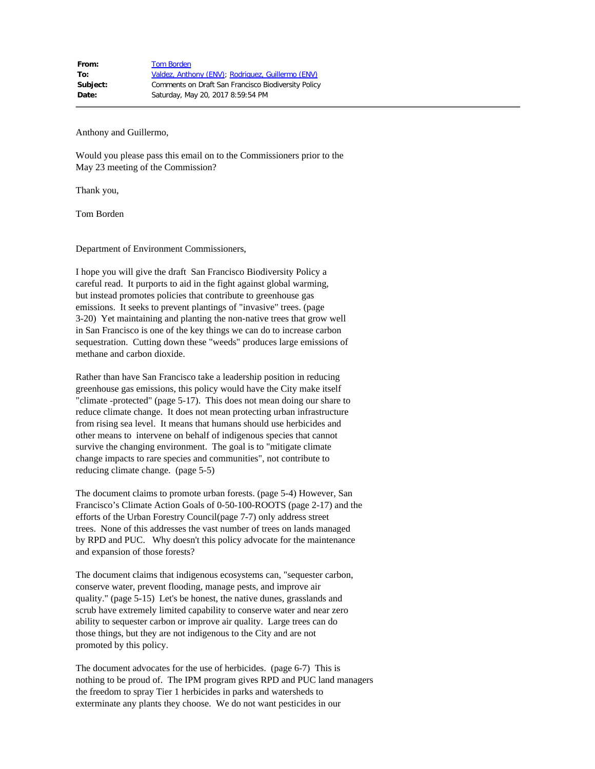Anthony and Guillermo,

Would you please pass this email on to the Commissioners prior to the May 23 meeting of the Commission?

Thank you,

Tom Borden

Department of Environment Commissioners,

I hope you will give the draft San Francisco Biodiversity Policy a careful read. It purports to aid in the fight against global warming, but instead promotes policies that contribute to greenhouse gas emissions. It seeks to prevent plantings of "invasive" trees. (page 3-20) Yet maintaining and planting the non-native trees that grow well in San Francisco is one of the key things we can do to increase carbon sequestration. Cutting down these "weeds" produces large emissions of methane and carbon dioxide.

Rather than have San Francisco take a leadership position in reducing greenhouse gas emissions, this policy would have the City make itself "climate -protected" (page 5-17). This does not mean doing our share to reduce climate change. It does not mean protecting urban infrastructure from rising sea level. It means that humans should use herbicides and other means to intervene on behalf of indigenous species that cannot survive the changing environment. The goal is to "mitigate climate change impacts to rare species and communities", not contribute to reducing climate change. (page 5-5)

The document claims to promote urban forests. (page 5-4) However, San Francisco's Climate Action Goals of 0-50-100-ROOTS (page 2-17) and the efforts of the Urban Forestry Council(page 7-7) only address street trees. None of this addresses the vast number of trees on lands managed by RPD and PUC. Why doesn't this policy advocate for the maintenance and expansion of those forests?

The document claims that indigenous ecosystems can, "sequester carbon, conserve water, prevent flooding, manage pests, and improve air quality." (page 5-15) Let's be honest, the native dunes, grasslands and scrub have extremely limited capability to conserve water and near zero ability to sequester carbon or improve air quality. Large trees can do those things, but they are not indigenous to the City and are not promoted by this policy.

The document advocates for the use of herbicides. (page 6-7) This is nothing to be proud of. The IPM program gives RPD and PUC land managers the freedom to spray Tier 1 herbicides in parks and watersheds to exterminate any plants they choose. We do not want pesticides in our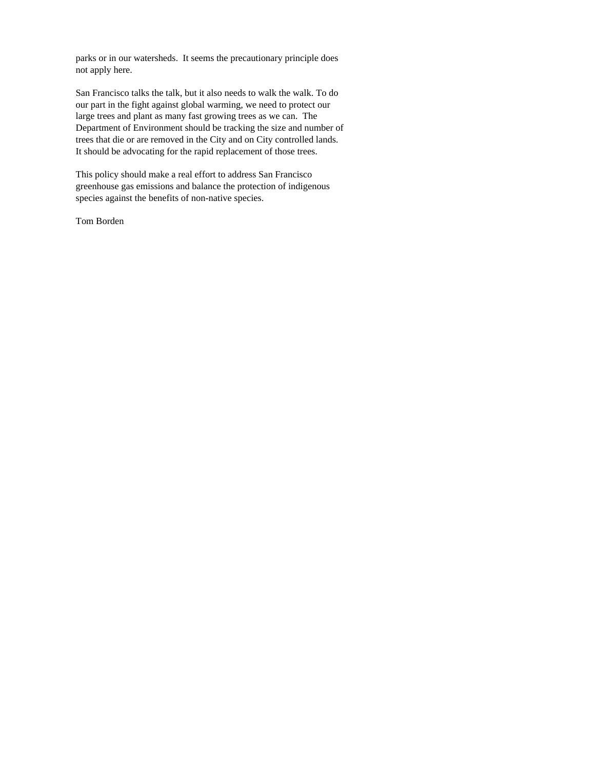parks or in our watersheds. It seems the precautionary principle does not apply here.

San Francisco talks the talk, but it also needs to walk the walk. To do our part in the fight against global warming, we need to protect our large trees and plant as many fast growing trees as we can. The Department of Environment should be tracking the size and number of trees that die or are removed in the City and on City controlled lands. It should be advocating for the rapid replacement of those trees.

This policy should make a real effort to address San Francisco greenhouse gas emissions and balance the protection of indigenous species against the benefits of non-native species.

Tom Borden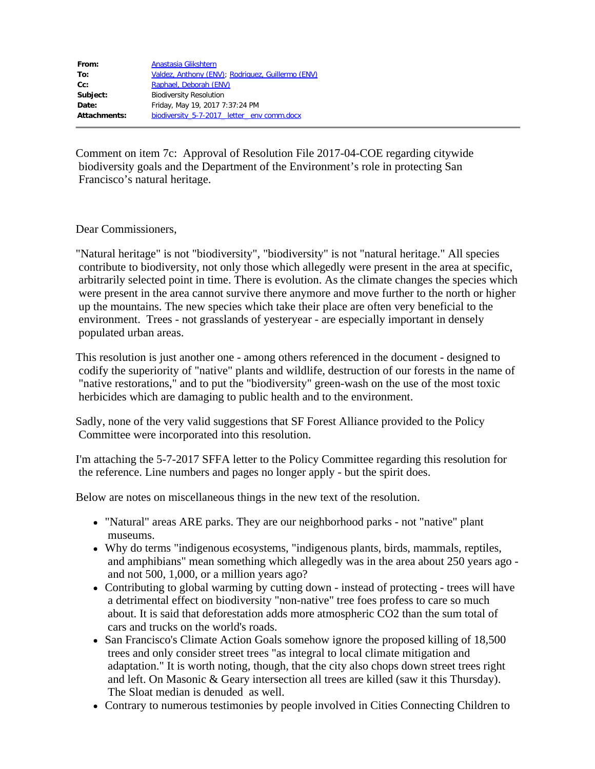| From:        | Anastasia Glikshtern                              |  |  |  |
|--------------|---------------------------------------------------|--|--|--|
| To:          | Valdez, Anthony (ENV); Rodriguez, Guillermo (ENV) |  |  |  |
| $Cc$ :       | Raphael, Deborah (ENV)                            |  |  |  |
| Subject:     | <b>Biodiversity Resolution</b>                    |  |  |  |
| Date:        | Friday, May 19, 2017 7:37:24 PM                   |  |  |  |
| Attachments: | biodiversity 5-7-2017 letter env comm.docx        |  |  |  |
|              |                                                   |  |  |  |

Comment on item 7c: Approval of Resolution File 2017-04-COE regarding citywide biodiversity goals and the Department of the Environment's role in protecting San Francisco's natural heritage.

Dear Commissioners,

"Natural heritage" is not "biodiversity", "biodiversity" is not "natural heritage." All species contribute to biodiversity, not only those which allegedly were present in the area at specific, arbitrarily selected point in time. There is evolution. As the climate changes the species which were present in the area cannot survive there anymore and move further to the north or higher up the mountains. The new species which take their place are often very beneficial to the environment. Trees - not grasslands of yesteryear - are especially important in densely populated urban areas.

This resolution is just another one - among others referenced in the document - designed to codify the superiority of "native" plants and wildlife, destruction of our forests in the name of "native restorations," and to put the "biodiversity" green-wash on the use of the most toxic herbicides which are damaging to public health and to the environment.

Sadly, none of the very valid suggestions that SF Forest Alliance provided to the Policy Committee were incorporated into this resolution.

I'm attaching the 5-7-2017 SFFA letter to the Policy Committee regarding this resolution for the reference. Line numbers and pages no longer apply - but the spirit does.

Below are notes on miscellaneous things in the new text of the resolution.

- "Natural" areas ARE parks. They are our neighborhood parks not "native" plant museums.
- Why do terms "indigenous ecosystems, "indigenous plants, birds, mammals, reptiles, and amphibians" mean something which allegedly was in the area about 250 years ago and not 500, 1,000, or a million years ago?
- Contributing to global warming by cutting down instead of protecting trees will have a detrimental effect on biodiversity "non-native" tree foes profess to care so much about. It is said that deforestation adds more atmospheric CO2 than the sum total of cars and trucks on the world's roads.
- San Francisco's Climate Action Goals somehow ignore the proposed killing of 18,500 trees and only consider street trees "as integral to local climate mitigation and adaptation." It is worth noting, though, that the city also chops down street trees right and left. On Masonic & Geary intersection all trees are killed (saw it this Thursday). The Sloat median is denuded as well.
- Contrary to numerous testimonies by people involved in Cities Connecting Children to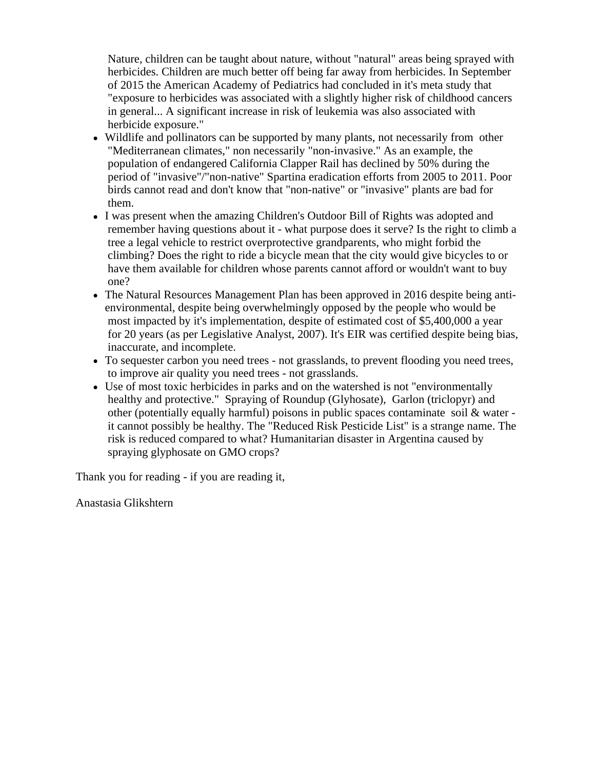Nature, children can be taught about nature, without "natural" areas being sprayed with herbicides. Children are much better off being far away from herbicides. In September of 2015 the American Academy of Pediatrics had concluded in it's meta study that "exposure to herbicides was associated with a slightly higher risk of childhood cancers in general... A significant increase in risk of leukemia was also associated with herbicide exposure."

- Wildlife and pollinators can be supported by many plants, not necessarily from other "Mediterranean climates," non necessarily "non-invasive." As an example, the population of endangered California Clapper Rail has declined by 50% during the period of "invasive"/"non-native" Spartina eradication efforts from 2005 to 2011. Poor birds cannot read and don't know that "non-native" or "invasive" plants are bad for them.
- I was present when the amazing Children's Outdoor Bill of Rights was adopted and remember having questions about it - what purpose does it serve? Is the right to climb a tree a legal vehicle to restrict overprotective grandparents, who might forbid the climbing? Does the right to ride a bicycle mean that the city would give bicycles to or have them available for children whose parents cannot afford or wouldn't want to buy one?
- The Natural Resources Management Plan has been approved in 2016 despite being antienvironmental, despite being overwhelmingly opposed by the people who would be most impacted by it's implementation, despite of estimated cost of \$5,400,000 a year for 20 years (as per Legislative Analyst, 2007). It's EIR was certified despite being bias, inaccurate, and incomplete.
- To sequester carbon you need trees not grasslands, to prevent flooding you need trees, to improve air quality you need trees - not grasslands.
- Use of most toxic herbicides in parks and on the watershed is not "environmentally healthy and protective." Spraying of Roundup (Glyhosate), Garlon (triclopyr) and other (potentially equally harmful) poisons in public spaces contaminate soil & water it cannot possibly be healthy. The "Reduced Risk Pesticide List" is a strange name. The risk is reduced compared to what? Humanitarian disaster in Argentina caused by spraying glyphosate on GMO crops?

Thank you for reading - if you are reading it,

Anastasia Glikshtern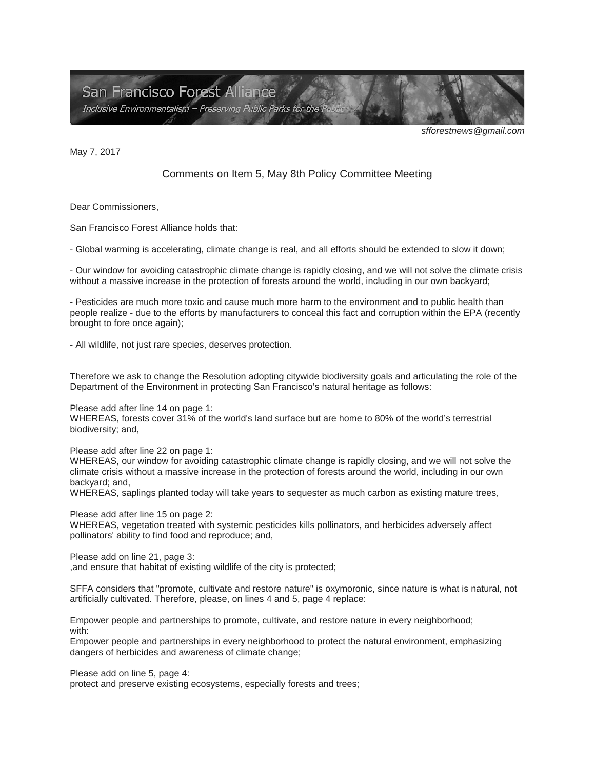San Francisco Forest Alliance Inclusive Environmentalism - Preserving Public Parks for the Pul

*sfforestnews@gmail.com*

May 7, 2017

Comments on Item 5, May 8th Policy Committee Meeting

Dear Commissioners,

San Francisco Forest Alliance holds that:

- Global warming is accelerating, climate change is real, and all efforts should be extended to slow it down;

- Our window for avoiding catastrophic climate change is rapidly closing, and we will not solve the climate crisis without a massive increase in the protection of forests around the world, including in our own backyard;

- Pesticides are much more toxic and cause much more harm to the environment and to public health than people realize - due to the efforts by manufacturers to conceal this fact and corruption within the EPA (recently brought to fore once again);

- All wildlife, not just rare species, deserves protection.

Therefore we ask to change the Resolution adopting citywide biodiversity goals and articulating the role of the Department of the Environment in protecting San Francisco's natural heritage as follows:

Please add after line 14 on page 1:

WHEREAS, forests cover 31% of the world's land surface but are home to 80% of the world's terrestrial biodiversity; and,

Please add after line 22 on page 1:

WHEREAS, our window for avoiding catastrophic climate change is rapidly closing, and we will not solve the climate crisis without a massive increase in the protection of forests around the world, including in our own backyard; and,

WHEREAS, saplings planted today will take years to sequester as much carbon as existing mature trees,

Please add after line 15 on page 2:

WHEREAS, vegetation treated with systemic pesticides kills pollinators, and herbicides adversely affect pollinators' ability to find food and reproduce; and,

Please add on line 21, page 3:

,and ensure that habitat of existing wildlife of the city is protected;

SFFA considers that "promote, cultivate and restore nature" is oxymoronic, since nature is what is natural, not artificially cultivated. Therefore, please, on lines 4 and 5, page 4 replace:

Empower people and partnerships to promote, cultivate, and restore nature in every neighborhood; with:

Empower people and partnerships in every neighborhood to protect the natural environment, emphasizing dangers of herbicides and awareness of climate change;

Please add on line 5, page 4:

protect and preserve existing ecosystems, especially forests and trees;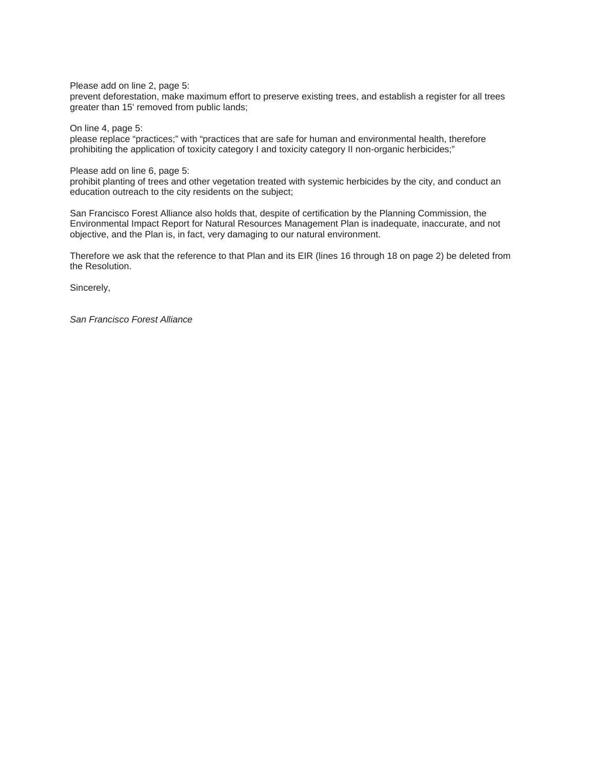Please add on line 2, page 5:

prevent deforestation, make maximum effort to preserve existing trees, and establish a register for all trees greater than 15' removed from public lands;

On line 4, page 5:

please replace "practices;" with "practices that are safe for human and environmental health, therefore prohibiting the application of toxicity category I and toxicity category II non-organic herbicides;"

#### Please add on line 6, page 5:

prohibit planting of trees and other vegetation treated with systemic herbicides by the city, and conduct an education outreach to the city residents on the subject;

San Francisco Forest Alliance also holds that, despite of certification by the Planning Commission, the Environmental Impact Report for Natural Resources Management Plan is inadequate, inaccurate, and not objective, and the Plan is, in fact, very damaging to our natural environment.

Therefore we ask that the reference to that Plan and its EIR (lines 16 through 18 on page 2) be deleted from the Resolution.

Sincerely,

*San Francisco Forest Alliance*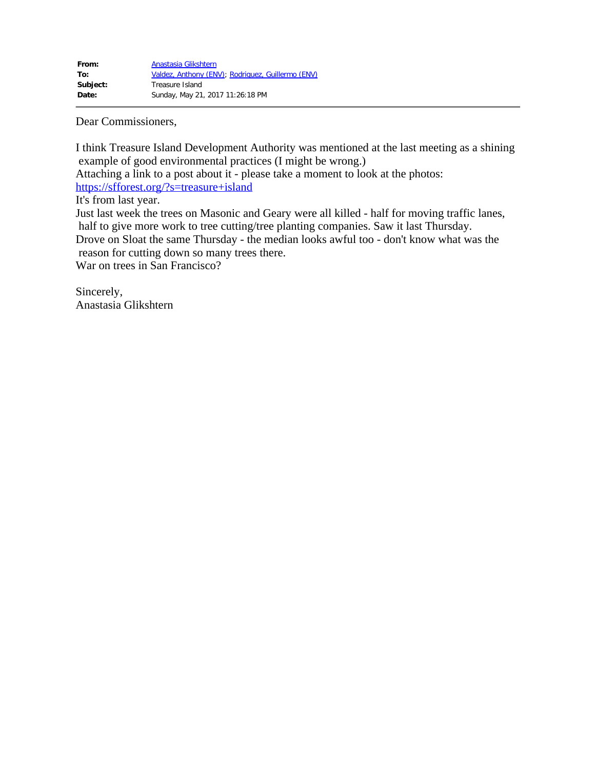Dear Commissioners,

I think Treasure Island Development Authority was mentioned at the last meeting as a shining example of good environmental practices (I might be wrong.)

Attaching a link to a post about it - please take a moment to look at the photos:

<https://sfforest.org/?s=treasure+island>

It's from last year.

Just last week the trees on Masonic and Geary were all killed - half for moving traffic lanes, half to give more work to tree cutting/tree planting companies. Saw it last Thursday. Drove on Sloat the same Thursday - the median looks awful too - don't know what was the reason for cutting down so many trees there.

War on trees in San Francisco?

Sincerely, Anastasia Glikshtern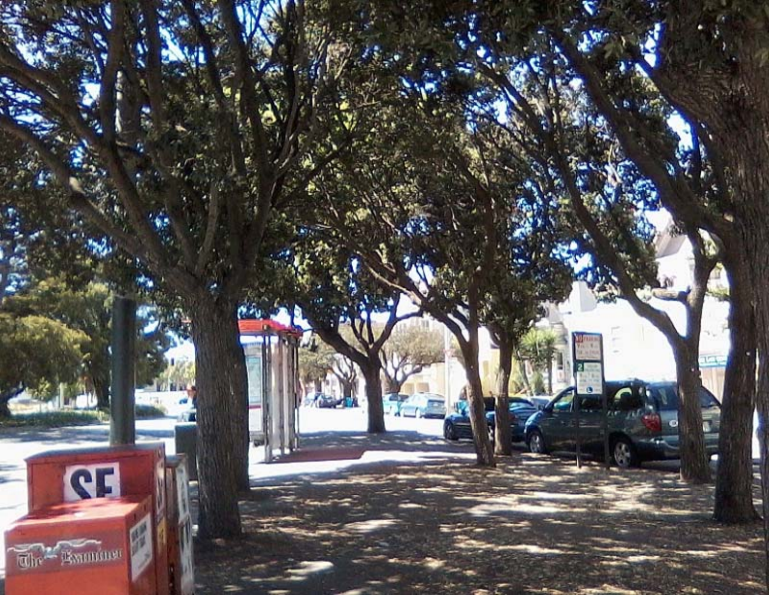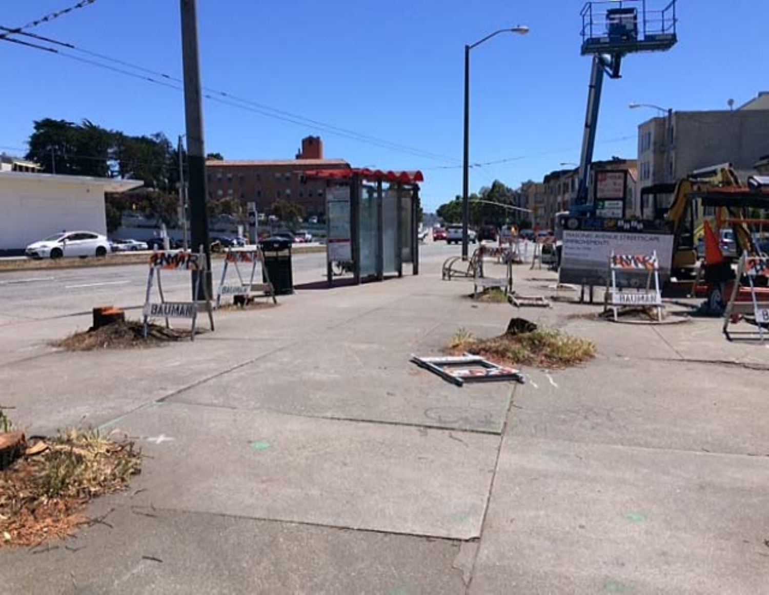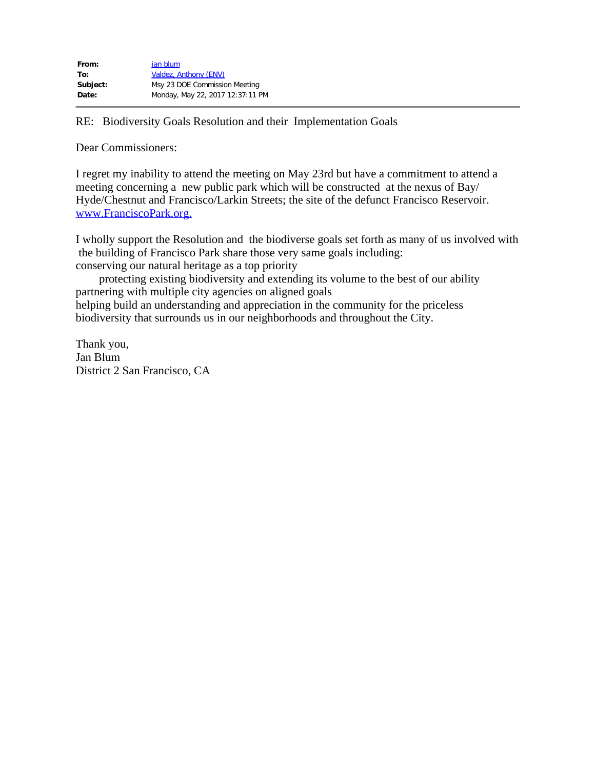| jan blum                         |  |  |
|----------------------------------|--|--|
| Valdez, Anthony (ENV)            |  |  |
| Msy 23 DOE Commission Meeting    |  |  |
| Monday, May 22, 2017 12:37:11 PM |  |  |
|                                  |  |  |

RE: Biodiversity Goals Resolution and their Implementation Goals

Dear Commissioners:

I regret my inability to attend the meeting on May 23rd but have a commitment to attend a meeting concerning a new public park which will be constructed at the nexus of Bay/ Hyde/Chestnut and Francisco/Larkin Streets; the site of the defunct Francisco Reservoir. [www.FranciscoPark.org.](http://www.franciscopark.org/)

I wholly support the Resolution and the biodiverse goals set forth as many of us involved with the building of Francisco Park share those very same goals including: conserving our natural heritage as a top priority

 protecting existing biodiversity and extending its volume to the best of our ability partnering with multiple city agencies on aligned goals helping build an understanding and appreciation in the community for the priceless biodiversity that surrounds us in our neighborhoods and throughout the City.

Thank you, Jan Blum District 2 San Francisco, CA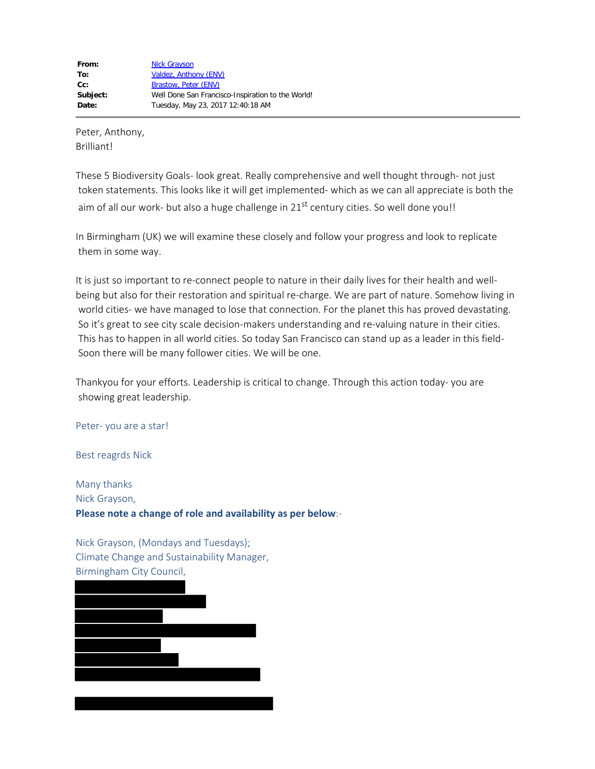Peter, Anthony, Brilliant!

These 5 Biodiversity Goals- look great. Really comprehensive and well thought through- not just token statements. This looks like it will get implemented- which as we can all appreciate is both the aim of all our work- but also a huge challenge in  $21<sup>st</sup>$  century cities. So well done you!!

In Birmingham (UK) we will examine these closely and follow your progress and look to replicate them in some way.

It is just so important to re-connect people to nature in their daily lives for their health and wellbeing but also for their restoration and spiritual re-charge. We are part of nature. Somehow living in world cities- we have managed to lose that connection. For the planet this has proved devastating. So it's great to see city scale decision-makers understanding and re-valuing nature in their cities. This has to happen in all world cities. So today San Francisco can stand up as a leader in this field- Soon there will be many follower cities. We will be one.

Thankyou for your efforts. Leadership is critical to change. Through this action today- you are showing great leadership.

Peter- you are a star!

Best reagrds Nick

Many thanks Nick Grayson, **Please note a change of role and availability as per below**:-

Nick Grayson, (Mondays and Tuesdays); Climate Change and Sustainability Manager, Birmingham City Council,

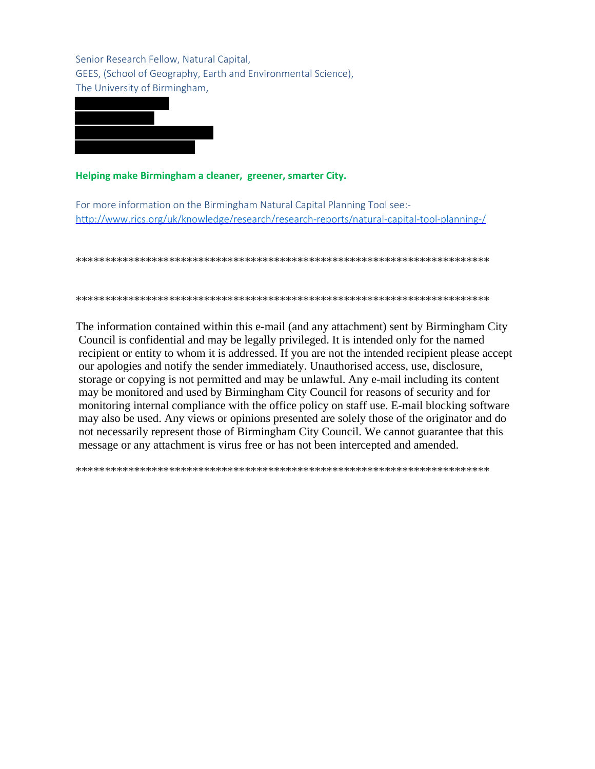Senior Research Fellow, Natural Capital, GEES, (School of Geography, Earth and Environmental Science), The University of Birmingham,



Helping make Birmingham a cleaner, greener, smarter City.

For more information on the Birmingham Natural Capital Planning Tool see:http://www.rics.org/uk/knowledge/research/research-reports/natural-capital-tool-planning-/

#### 

The information contained within this e-mail (and any attachment) sent by Birmingham City Council is confidential and may be legally privileged. It is intended only for the named recipient or entity to whom it is addressed. If you are not the intended recipient please accept our apologies and notify the sender immediately. Unauthorised access, use, disclosure, storage or copying is not permitted and may be unlawful. Any e-mail including its content may be monitored and used by Birmingham City Council for reasons of security and for monitoring internal compliance with the office policy on staff use. E-mail blocking software may also be used. Any views or opinions presented are solely those of the originator and do not necessarily represent those of Birmingham City Council. We cannot guarantee that this message or any attachment is virus free or has not been intercepted and amended.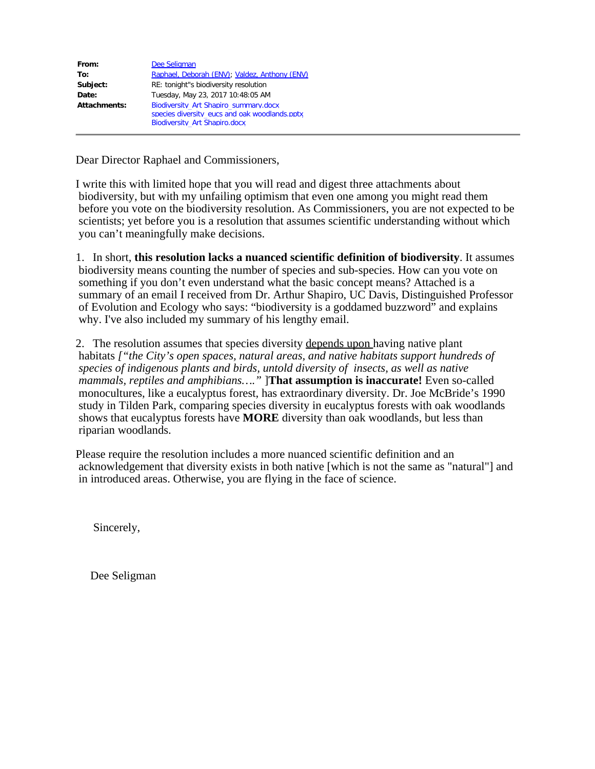| From:        | Dee Seligman                                                                                                                          |  |  |
|--------------|---------------------------------------------------------------------------------------------------------------------------------------|--|--|
| To:          | Raphael, Deborah (ENV); Valdez, Anthony (ENV)                                                                                         |  |  |
| Subject:     | RE: tonight"s biodiversity resolution                                                                                                 |  |  |
| Date:        | Tuesday, May 23, 2017 10:48:05 AM                                                                                                     |  |  |
| Attachments: | <b>Biodiversity Art Shapiro summary.docx</b><br>species diversity eucs and oak woodlands.pptx<br><b>Biodiversity Art Shapiro.docx</b> |  |  |

Dear Director Raphael and Commissioners,

I write this with limited hope that you will read and digest three attachments about biodiversity, but with my unfailing optimism that even one among you might read them before you vote on the biodiversity resolution. As Commissioners, you are not expected to be scientists; yet before you is a resolution that assumes scientific understanding without which you can't meaningfully make decisions.

1. In short, **this resolution lacks a nuanced scientific definition of biodiversity**. It assumes biodiversity means counting the number of species and sub-species. How can you vote on something if you don't even understand what the basic concept means? Attached is a summary of an email I received from Dr. Arthur Shapiro, UC Davis, Distinguished Professor of Evolution and Ecology who says: "biodiversity is a goddamed buzzword" and explains why. I've also included my summary of his lengthy email.

2. The resolution assumes that species diversity depends upon having native plant habitats *["the City's open spaces, natural areas, and native habitats support hundreds of species of indigenous plants and birds, untold diversity of insects, as well as native mammals, reptiles and amphibians…."* ]**That assumption is inaccurate!** Even so-called monocultures, like a eucalyptus forest, has extraordinary diversity. Dr. Joe McBride's 1990 study in Tilden Park, comparing species diversity in eucalyptus forests with oak woodlands shows that eucalyptus forests have **MORE** diversity than oak woodlands, but less than riparian woodlands.

Please require the resolution includes a more nuanced scientific definition and an acknowledgement that diversity exists in both native [which is not the same as "natural"] and in introduced areas. Otherwise, you are flying in the face of science.

Sincerely,

Dee Seligman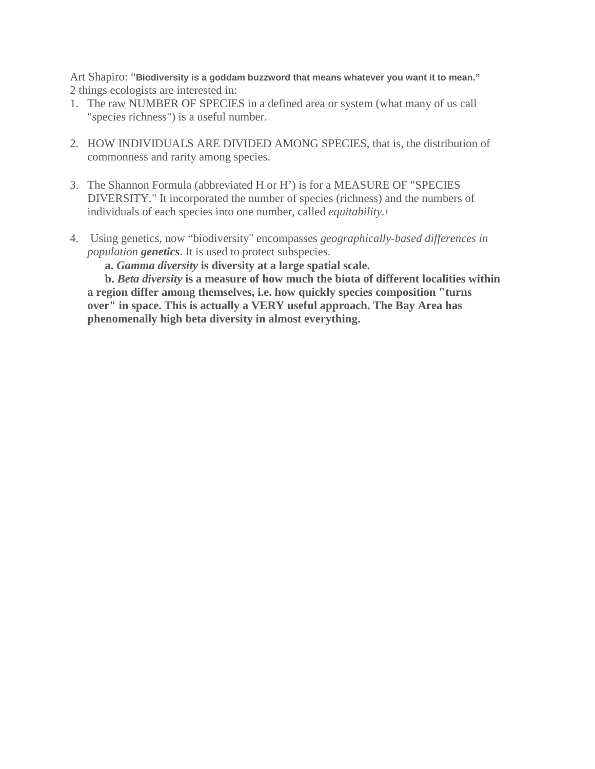Art Shapiro: "**Biodiversity is a goddam buzzword that means whatever you want it to mean."** 2 things ecologists are interested in:

- 1. The raw NUMBER OF SPECIES in a defined area or system (what many of us call "species richness") is a useful number.
- 2. HOW INDIVIDUALS ARE DIVIDED AMONG SPECIES, that is, the distribution of commonness and rarity among species.
- 3. The Shannon Formula (abbreviated H or H') is for a MEASURE OF "SPECIES DIVERSITY." It incorporated the number of species (richness) and the numbers of individuals of each species into one number, called *equitability.\*
- 4. Using genetics, now "biodiversity" encompasses *geographically-based differences in population genetics*. It is used to protect subspecies.
	- **a.** *Gamma diversity* **is diversity at a large spatial scale.**

**b.** *Beta diversity* **is a measure of how much the biota of different localities within a region differ among themselves, i.e. how quickly species composition "turns over" in space. This is actually a VERY useful approach. The Bay Area has phenomenally high beta diversity in almost everything.**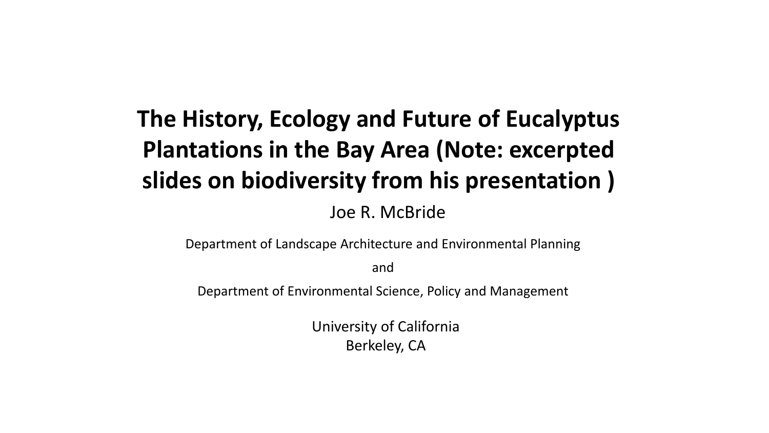# **The History, Ecology and Future of Eucalyptus Plantations in the Bay Area (Note: excerpted slides on biodiversity from his presentation )**  Joe R. McBride

Department of Landscape Architecture and Environmental Planning

and

Department of Environmental Science, Policy and Management

University of California Berkeley, CA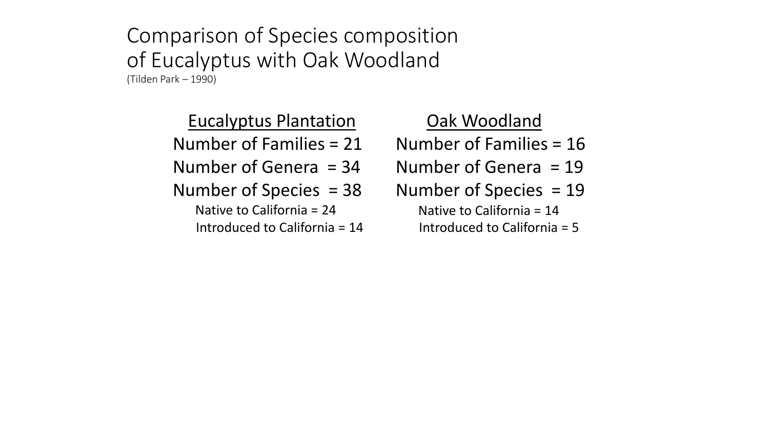Comparison of Species composition of Eucalyptus with Oak Woodland (Tilden Park – 1990)

> Eucalyptus Plantation Number of Families = 21 Number of Genera = 34 Number of Species = 38

> > Native to California = 24 Introduced to California = 14

Oak Woodland Number of Families = 16 Number of Genera = 19 Number of Species = 19 Native to California = 14 Introduced to California = 5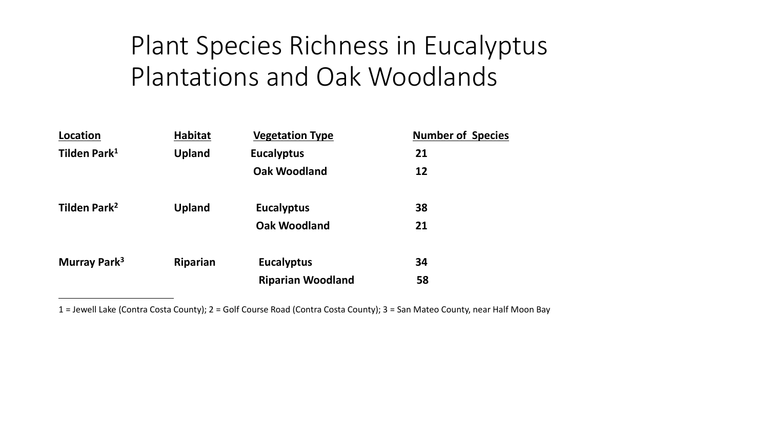# Plant Species Richness in Eucalyptus Plantations and Oak Woodlands

| Location                 | <b>Habitat</b>  | <b>Vegetation Type</b>   | <b>Number of Species</b> |
|--------------------------|-----------------|--------------------------|--------------------------|
| Tilden Park <sup>1</sup> | <b>Upland</b>   | <b>Eucalyptus</b>        | 21                       |
|                          |                 | <b>Oak Woodland</b>      | 12                       |
| Tilden Park <sup>2</sup> | Upland          | <b>Eucalyptus</b>        | 38                       |
|                          |                 | <b>Oak Woodland</b>      | 21                       |
| Murray Park <sup>3</sup> | <b>Riparian</b> | <b>Eucalyptus</b>        | 34                       |
|                          |                 | <b>Riparian Woodland</b> | 58                       |

1 = Jewell Lake (Contra Costa County); 2 = Golf Course Road (Contra Costa County); 3 = San Mateo County, near Half Moon Bay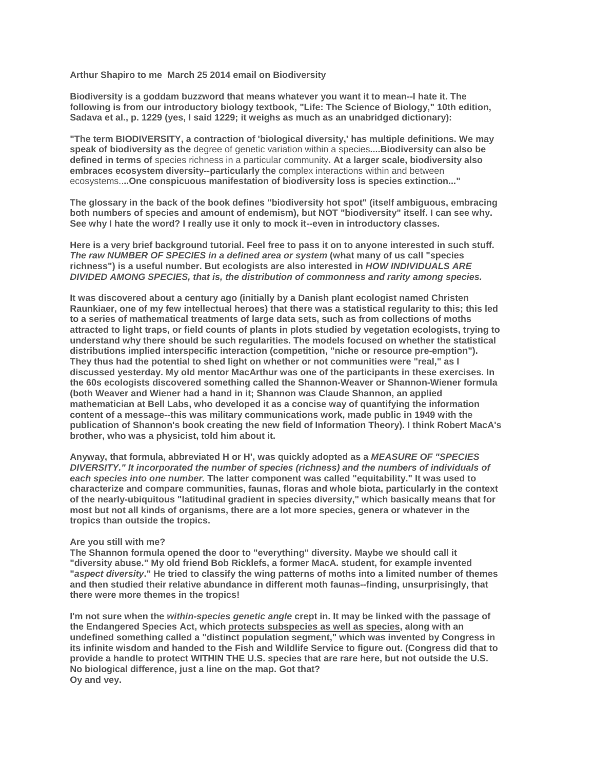**Arthur Shapiro to me March 25 2014 email on Biodiversity** 

**Biodiversity is a goddam buzzword that means whatever you want it to mean--I hate it. The following is from our introductory biology textbook, "Life: The Science of Biology," 10th edition, Sadava et al., p. 1229 (yes, I said 1229; it weighs as much as an unabridged dictionary):**

**"The term BIODIVERSITY, a contraction of 'biological diversity,' has multiple definitions. We may speak of biodiversity as the** degree of genetic variation within a species**....Biodiversity can also be defined in terms of** species richness in a particular community**. At a larger scale, biodiversity also embraces ecosystem diversity--particularly the** complex interactions within and between ecosystems..**..One conspicuous manifestation of biodiversity loss is species extinction..."**

**The glossary in the back of the book defines "biodiversity hot spot" (itself ambiguous, embracing both numbers of species and amount of endemism), but NOT "biodiversity" itself. I can see why. See why I hate the word? I really use it only to mock it--even in introductory classes.**

**Here is a very brief background tutorial. Feel free to pass it on to anyone interested in such stuff.** *The raw NUMBER OF SPECIES in a defined area or system* **(what many of us call "species richness") is a useful number. But ecologists are also interested in** *HOW INDIVIDUALS ARE DIVIDED AMONG SPECIES, that is, the distribution of commonness and rarity among species.* 

**It was discovered about a century ago (initially by a Danish plant ecologist named Christen Raunkiaer, one of my few intellectual heroes) that there was a statistical regularity to this; this led to a series of mathematical treatments of large data sets, such as from collections of moths attracted to light traps, or field counts of plants in plots studied by vegetation ecologists, trying to understand why there should be such regularities. The models focused on whether the statistical distributions implied interspecific interaction (competition, "niche or resource pre-emption"). They thus had the potential to shed light on whether or not communities were "real," as I discussed yesterday. My old mentor MacArthur was one of the participants in these exercises. In the 60s ecologists discovered something called the Shannon-Weaver or Shannon-Wiener formula (both Weaver and Wiener had a hand in it; Shannon was Claude Shannon, an applied mathematician at Bell Labs, who developed it as a concise way of quantifying the information content of a message--this was military communications work, made public in 1949 with the publication of Shannon's book creating the new field of Information Theory). I think Robert MacA's brother, who was a physicist, told him about it.** 

**Anyway, that formula, abbreviated H or H', was quickly adopted as a** *MEASURE OF "SPECIES DIVERSITY." It incorporated the number of species (richness) and the numbers of individuals of each species into one number.* **The latter component was called "equitability." It was used to characterize and compare communities, faunas, floras and whole biota, particularly in the context of the nearly-ubiquitous "latitudinal gradient in species diversity," which basically means that for most but not all kinds of organisms, there are a lot more species, genera or whatever in the tropics than outside the tropics.**

#### **Are you still with me?**

**The Shannon formula opened the door to "everything" diversity. Maybe we should call it "diversity abuse." My old friend Bob Ricklefs, a former MacA. student, for example invented "***aspect diversity***." He tried to classify the wing patterns of moths into a limited number of themes and then studied their relative abundance in different moth faunas--finding, unsurprisingly, that there were more themes in the tropics!** 

**I'm not sure when the** *within-species genetic angle* **crept in. It may be linked with the passage of the Endangered Species Act, which protects subspecies as well as species, along with an undefined something called a "distinct population segment," which was invented by Congress in its infinite wisdom and handed to the Fish and Wildlife Service to figure out. (Congress did that to provide a handle to protect WITHIN THE U.S. species that are rare here, but not outside the U.S. No biological difference, just a line on the map. Got that? Oy and vey.**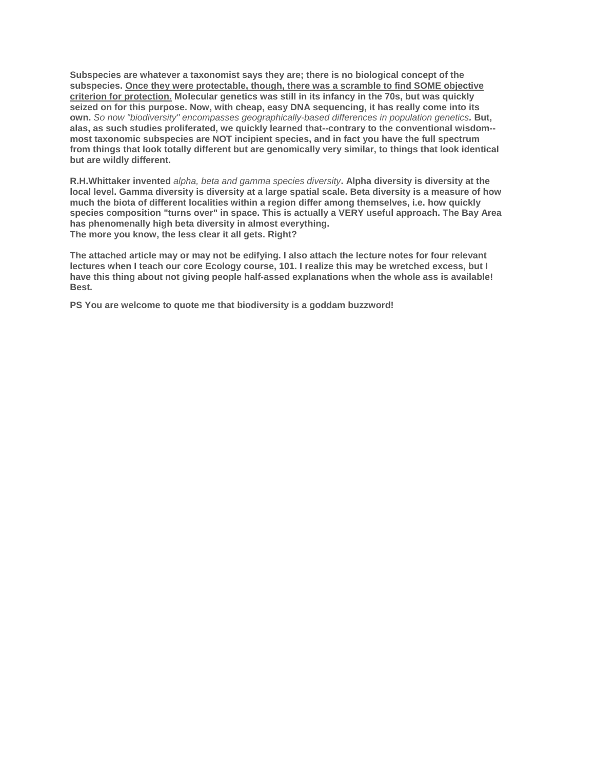**Subspecies are whatever a taxonomist says they are; there is no biological concept of the subspecies. Once they were protectable, though, there was a scramble to find SOME objective criterion for protection. Molecular genetics was still in its infancy in the 70s, but was quickly seized on for this purpose. Now, with cheap, easy DNA sequencing, it has really come into its own.** *So now "biodiversity" encompasses geographically-based differences in population genetics.* **But, alas, as such studies proliferated, we quickly learned that--contrary to the conventional wisdom- most taxonomic subspecies are NOT incipient species, and in fact you have the full spectrum from things that look totally different but are genomically very similar, to things that look identical but are wildly different.**

**R.H.Whittaker invented** *alpha, beta and gamma species diversity***. Alpha diversity is diversity at the local level. Gamma diversity is diversity at a large spatial scale. Beta diversity is a measure of how much the biota of different localities within a region differ among themselves, i.e. how quickly species composition "turns over" in space. This is actually a VERY useful approach. The Bay Area has phenomenally high beta diversity in almost everything. The more you know, the less clear it all gets. Right?**

**The attached article may or may not be edifying. I also attach the lecture notes for four relevant lectures when I teach our core Ecology course, 101. I realize this may be wretched excess, but I have this thing about not giving people half-assed explanations when the whole ass is available! Best.**

**PS You are welcome to quote me that biodiversity is a goddam buzzword!**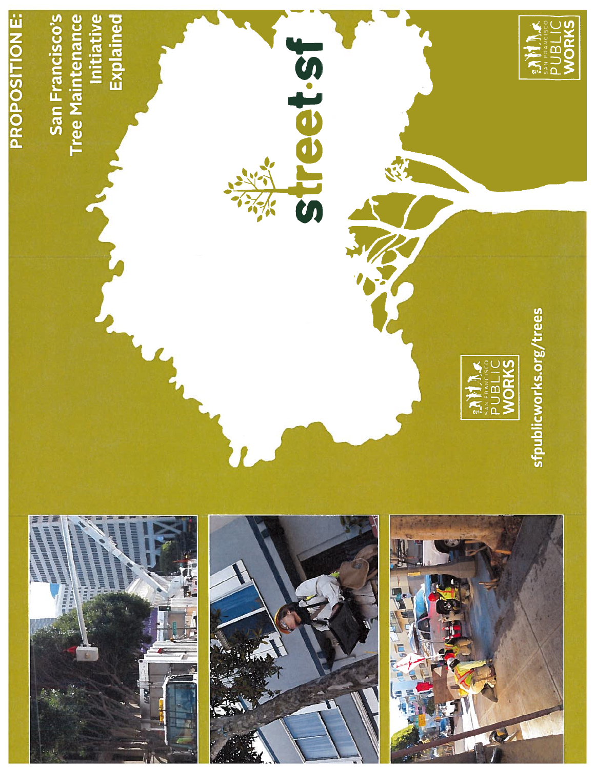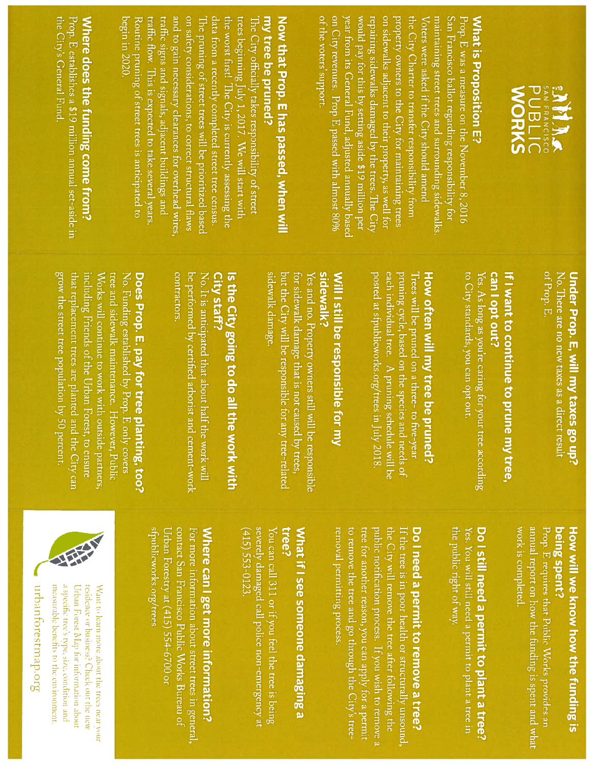#### **WORKS NORKS**  $\mathbb T$ S<br>N<br>Z  $\subset$ FRANZ<br>C  $\overline{\mathbf{u}}$  $\overline{\bigcap}$ SC o

## **What** <u>ក</u>ៈ Proposition <u>णु</u>

Prop. E was  $\overline{\phantom{a}}$ measure on the November  $\infty$ 2016 San Francisco ballot regarding responsibility for maintaining street trees and surrounding sidewalks. Voters were asked ifthe City should amend the City Charter  $\overline{\mathbf{c}}$ transfer responsibility from property owners  $\overline{\sigma}$ the City for maintaining trees on sidewalks adjacent to their property, as well for repairing sidewalks damaged হ the trees. The **City** would  $\operatorname{red}$ for this হ setting aside \$19 million per year from its General Fund, adjusted annually based on City revenues. Prop  $\overline{\mathbf{E}}$ passed with almost 80% ofthe voters' support.

#### Z<br>S that Prop. E has passed, when will my tree চ<br>চ pruned?

The City officially takes responsibility ofstreet trees beginning July 1,2017. We will start with the worst first! The City is currently assessing the data from a recently completed street tree census. The pruning ofstreet trees will ट्र prioritized based on safety considerations,  $\Xi$ correct structural flaws and  $\Xi$ gain necessary clearances for overhead wires, traffic signs and signals, adjacent buildings and traffic flow. This is expected to take several years. Routine pruning ofstreet trees is anticipated  $\overline{\sigma}$ begin in, 2020.

#### Where does the funding come from? Prop.  $\blacksquare$ establishes a \$19 million annual set-aside in<br>1 the City's General Fund.

Under Prop. E, ≦<br>⊒ my taxes go م<br>اب No. There are no new taxes  $\mathbb{S}^2$ a direct result of Prop. E.

# If I want to continue to prune my tree, can I opt **if I want to continue to prune my tree,**  $\begin{array}{c} \text{work is completed} \end{array}$ out?

Yes.  $\mathbf{A}$ s long as you're caring for your tree according to City standards, you can opt out.

## 그<br>S often  $\tilde{\bar{\vec{z}}}$ my tree be pruned?

Trees  $\widetilde{\Xi}$ ट्र pruned on a three-  $\overline{\sigma}$ five-year pruning cycle, based on the species and needs ቧ<br>ተ each individual tree.  $\blacktriangleright$ pruning schedule will a<br>a posted  $\frac{a}{\pi}$ sfpublicworks.org/trees in. July 2018.

## sidewalk? Will I still sidewalk? ರ<br>೧ responsible for my

Yes and no. Property owners still will be responsible for sidewalk damage that is not caused ত্ৰ trees, but the<br>S City  $\tilde{\Xi}$  $\Delta$ responsible for any tree-related sidewalk damage.

### $\overline{\mathcal{G}}$ the City going to do  $\mathbf{\underline{\Xi}}$ the work **Mith** City staff?

contractors. contractors. be No. performed  $\Xi$ is anticipated হ্ৰ certified  $\frac{1}{2}$ about arbotist halfthe and cement-work work will

## Does Prop. E. **pay** for tree planting, too?

No. Funding established ্ৰ Prop. E only covers tree and sidewalk maintenance. However, Public Works will continue to work with outside partners, including Friends ofthe Urban Forest,  $\Xi$ ensure that replacement trees are planted and the **City** can grow the street tree population ्ट 50 percent.

## 그<br>S will ≲<br>@ know how the funding ភ being spent?

Prop. E requires that Public Works provides an annual report on how the funding is. spent and what work  $\approx$  .

#### Do I still need a permit to plant a tree? Yes. You will  $\stackrel{\rm ss}{=}$ need a permit  $\overline{\mathcal{C}}$ plant a tree ii

the public right ofway.

## Do I need a permit to remove a tree?

Ifthe tree is in poor health or structurally unsound, the City  $\widetilde{\Xi}$ remove the tree after following the public notification process. Ifyou wish  $\overline{\sigma}$ remove a tree for another reason, you can apply for a permit  $\Xi$ remove the tree and go through the City's treeremoval permitting process.

# **What** if I see someone damaging a tree?

You can call یم<br>11 or ifyou feel the tree is being severely damaged call police non-emergency at (415) 553-0123.

#### Where can I get more information? For more information about street trees ii. general,

stpublicworks.org/trees Urban sfpublicworks.org/trees contact Forestry San Francisco  $\Xi$ (415) Public 554-6700 Works or Bureau of



\\1aiit  $\Xi$ learn more about  $\frac{1}{2}$ tieCs near your rcidenee or business? Check  $\mathop{\stackrel{\scriptstyle\circ}{\scriptstyle\circ}}$ the co new Urban borest  $\lim_{\Omega\to 0}$ tui intormation about a speeiic tree's wpe, size, condition and measurable benetts B. the environment.

urbanforestmap.org

urbanforestmap.org